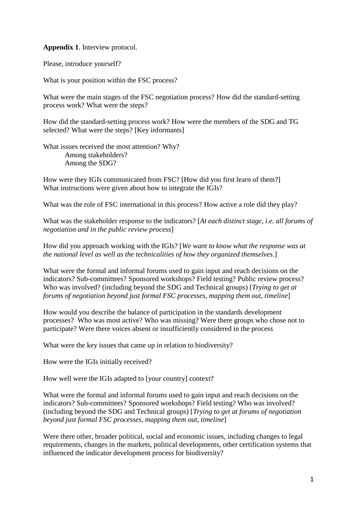**Appendix 1**. Interview protocol.

Please, introduce yourself?

What is your position within the FSC process?

What were the main stages of the FSC negotiation process? How did the standard-setting process work? What were the steps?

How did the standard-setting process work? How were the members of the SDG and TG selected? What were the steps? [Key informants]

What issues received the most attention? Why? Among stakeholders? Among the SDG?

How were they IGIs communicated from FSC? [How did you first learn of them?] What instructions were given about how to integrate the IGIs?

What was the role of FSC international in this process? How active a role did they play?

What was the stakeholder response to the indicators? [*At each distinct stage, i.e. all forums of negotiation and in the public review process*]

How did you approach working with the IGIs? [*We want to know what the response was at the national level as well as the technicalities of how they organized themselves*.]

What were the formal and informal forums used to gain input and reach decisions on the indicators? Sub-committees? Sponsored workshops? Field testing? Public review process? Who was involved? (including beyond the SDG and Technical groups) [*Trying to get at forums of negotiation beyond just formal FSC processes, mapping them out, timeline*]

How would you describe the balance of participation in the standards development processes? Who was most active? Who was missing? Were there groups who chose not to participate? Were there voices absent or insufficiently considered in the process

What were the key issues that came up in relation to biodiversity?

How were the IGIs initially received?

How well were the IGIs adapted to [your country] context?

What were the formal and informal forums used to gain input and reach decisions on the indicators? Sub-committees? Sponsored workshops? Field testing? Who was involved? (including beyond the SDG and Technical groups) [*Trying to get at forums of negotiation beyond just formal FSC processes, mapping them out, timeline*]

Were there other, broader political, social and economic issues, including changes to legal requirements, changes in the markets, political developments, other certification systems that influenced the indicator development process for biodiversity?